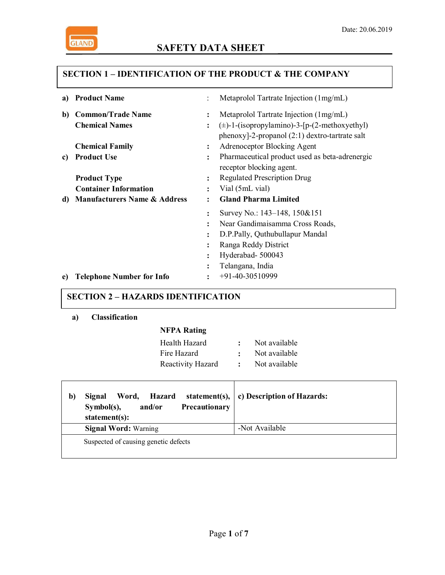

# **SAFETY DATA SHEET**

## **SECTION 1 – IDENTIFICATION OF THE PRODUCT & THE COMPANY**

| a) | <b>Product Name</b>                     |                | Metaprolol Tartrate Injection (1mg/mL)              |
|----|-----------------------------------------|----------------|-----------------------------------------------------|
| b) | <b>Common/Trade Name</b>                | $\ddot{\cdot}$ | Metaprolol Tartrate Injection (1mg/mL)              |
|    | <b>Chemical Names</b>                   | $\ddot{\cdot}$ | $(\pm)$ -1-(isopropylamino)-3-[p-(2-methoxyethyl)   |
|    |                                         |                | $phenoxy$ ]-2-propanol $(2:1)$ dextro-tartrate salt |
|    | <b>Chemical Family</b>                  | :              | Adrenoceptor Blocking Agent                         |
| c) | <b>Product Use</b>                      | :              | Pharmaceutical product used as beta-adrenergic      |
|    |                                         |                | receptor blocking agent.                            |
|    | <b>Product Type</b>                     | :              | <b>Regulated Prescription Drug</b>                  |
|    | <b>Container Information</b>            | $\ddot{\cdot}$ | Vial (5mL vial)                                     |
| d) | <b>Manufacturers Name &amp; Address</b> | $\ddot{\cdot}$ | <b>Gland Pharma Limited</b>                         |
|    |                                         |                |                                                     |
|    |                                         | $\ddot{\cdot}$ | Survey No.: 143–148, 150&151                        |
|    |                                         | $\ddot{\cdot}$ | Near Gandimaisamma Cross Roads,                     |
|    |                                         | $\ddot{\cdot}$ | D.P.Pally, Quthubullapur Mandal                     |
|    |                                         | $\ddot{\cdot}$ | Ranga Reddy District                                |
|    |                                         | $\ddot{\cdot}$ | Hyderabad-500043                                    |
|    |                                         | $\ddot{\cdot}$ | Telangana, India                                    |

## **SECTION 2 – HAZARDS IDENTIFICATION**

#### **a) Classification**

### **NFPA Rating**

| Health Hazard     | Not available |
|-------------------|---------------|
| Fire Hazard       | Not available |
| Reactivity Hazard | Not available |

| b) | Word.<br><b>Hazard</b><br>Signal<br>Precautionary<br>$Symbol(s)$ ,<br>and/or<br>statement $(s)$ : | statement(s), $\vert$ c) Description of Hazards: |
|----|---------------------------------------------------------------------------------------------------|--------------------------------------------------|
|    | <b>Signal Word: Warning</b>                                                                       | -Not Available                                   |
|    | Suspected of causing genetic defects                                                              |                                                  |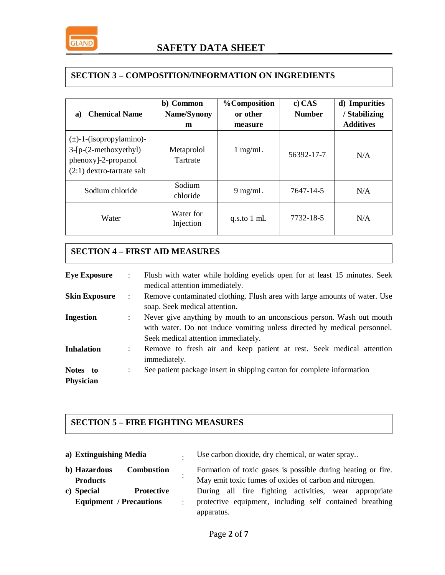

### **SECTION 3 – COMPOSITION/INFORMATION ON INGREDIENTS**

| <b>Chemical Name</b><br>a)                                                                                      | b) Common<br>Name/Synony<br>m | <b>%Composition</b><br>or other<br>measure | $c)$ CAS<br><b>Number</b> | d) Impurities<br><b>Stabilizing</b><br><b>Additives</b> |
|-----------------------------------------------------------------------------------------------------------------|-------------------------------|--------------------------------------------|---------------------------|---------------------------------------------------------|
| $(\pm)$ -1-(isopropylamino)-<br>$3-[p-(2-methoxyethyl)]$<br>phenoxy]-2-propanol<br>$(2:1)$ dextro-tartrate salt | Metaprolol<br>Tartrate        | $1 \text{ mg/mL}$                          | 56392-17-7                | N/A                                                     |
| Sodium chloride                                                                                                 | Sodium<br>chloride            | $9 \text{ mg/mL}$                          | 7647-14-5                 | N/A                                                     |
| Water                                                                                                           | Water for<br>Injection        | q.s.to $1 \text{ mL}$                      | 7732-18-5                 | N/A                                                     |

# **SECTION 4 – FIRST AID MEASURES**

| <b>Eye Exposure</b>          | Flush with water while holding eyelids open for at least 15 minutes. Seek<br>medical attention immediately.                                                                                                      |
|------------------------------|------------------------------------------------------------------------------------------------------------------------------------------------------------------------------------------------------------------|
| <b>Skin Exposure</b>         | Remove contaminated clothing. Flush area with large amounts of water. Use<br>$\ddot{\phantom{a}}$<br>soap. Seek medical attention.                                                                               |
| <b>Ingestion</b>             | Never give anything by mouth to an unconscious person. Wash out mouth<br>$\ddot{\phantom{a}}$<br>with water. Do not induce vomiting unless directed by medical personnel.<br>Seek medical attention immediately. |
| <b>Inhalation</b>            | Remove to fresh air and keep patient at rest. Seek medical attention<br>immediately.                                                                                                                             |
| Notes to<br><b>Physician</b> | See patient package insert in shipping carton for complete information<br>:                                                                                                                                      |

## **SECTION 5 – FIRE FIGHTING MEASURES**

| a) Extinguishing Media |                                                                   |                                                                                                                                | Use carbon dioxide, dry chemical, or water spray                                                                       |
|------------------------|-------------------------------------------------------------------|--------------------------------------------------------------------------------------------------------------------------------|------------------------------------------------------------------------------------------------------------------------|
|                        | b) Hazardous<br><b>Combustion</b><br><b>Products</b>              |                                                                                                                                | Formation of toxic gases is possible during heating or fire.<br>May emit toxic fumes of oxides of carbon and nitrogen. |
|                        | c) Special<br><b>Protective</b><br><b>Equipment</b> / Precautions | During all fire fighting activities, wear appropriate<br>protective equipment, including self contained breathing<br>$\cdot$ . |                                                                                                                        |
|                        |                                                                   |                                                                                                                                | apparatus.                                                                                                             |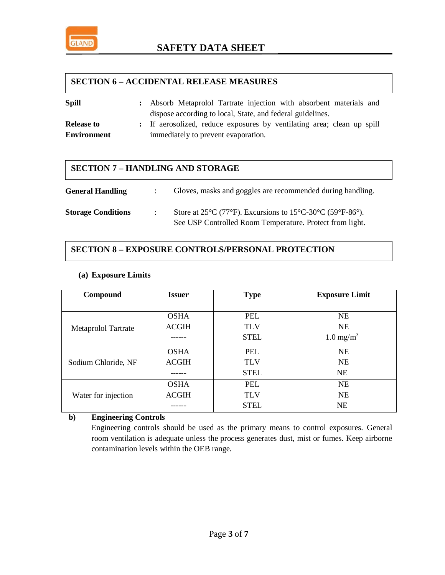

### **SECTION 6 – ACCIDENTAL RELEASE MEASURES**

| <b>Spill</b>       | : Absorb Metaprolol Tartrate injection with absorbent materials and    |
|--------------------|------------------------------------------------------------------------|
|                    | dispose according to local, State, and federal guidelines.             |
| <b>Release to</b>  | : If aerosolized, reduce exposures by ventilating area; clean up spill |
| <b>Environment</b> | immediately to prevent evaporation.                                    |

### **SECTION 7 – HANDLING AND STORAGE**

| <b>General Handling</b>   | Gloves, masks and goggles are recommended during handling.                    |
|---------------------------|-------------------------------------------------------------------------------|
| <b>Storage Conditions</b> | Store at $25^{\circ}$ C (77°F). Excursions to $15^{\circ}$ C-30°C (59°F-86°). |
|                           | See USP Controlled Room Temperature. Protect from light.                      |

## **SECTION 8 – EXPOSURE CONTROLS/PERSONAL PROTECTION**

#### **(a) Exposure Limits**

| Compound                   | <b>Issuer</b> | <b>Type</b> | <b>Exposure Limit</b> |  |
|----------------------------|---------------|-------------|-----------------------|--|
|                            |               |             |                       |  |
|                            | <b>OSHA</b>   | <b>PEL</b>  | <b>NE</b>             |  |
| <b>Metaprolol Tartrate</b> | <b>ACGIH</b>  | <b>TLV</b>  | NE                    |  |
|                            |               | <b>STEL</b> | $1.0 \text{ mg/m}^3$  |  |
|                            | <b>OSHA</b>   | <b>PEL</b>  | <b>NE</b>             |  |
| Sodium Chloride, NF        | <b>ACGIH</b>  | <b>TLV</b>  | <b>NE</b>             |  |
|                            |               | <b>STEL</b> | <b>NE</b>             |  |
|                            | <b>OSHA</b>   | <b>PEL</b>  | <b>NE</b>             |  |
| Water for injection        | <b>ACGIH</b>  | <b>TLV</b>  | <b>NE</b>             |  |
|                            |               | <b>STEL</b> | <b>NE</b>             |  |

### **b) Engineering Controls**

Engineering controls should be used as the primary means to control exposures. General room ventilation is adequate unless the process generates dust, mist or fumes. Keep airborne contamination levels within the OEB range.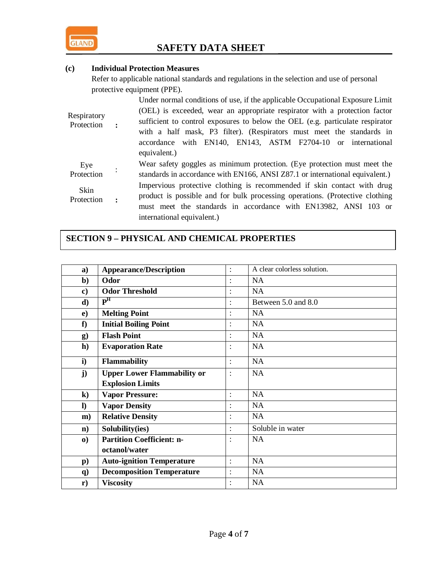

### **(c) Individual Protection Measures**

Refer to applicable national standards and regulations in the selection and use of personal protective equipment (PPE).

| Respiratory<br>Protection |                | Under normal conditions of use, if the applicable Occupational Exposure Limit<br>(OEL) is exceeded, wear an appropriate respirator with a protection factor<br>sufficient to control exposures to below the OEL (e.g. particulate respirator<br>with a half mask, P3 filter). (Respirators must meet the standards in<br>accordance with EN140, EN143, ASTM F2704-10 or international<br>equivalent.) |
|---------------------------|----------------|-------------------------------------------------------------------------------------------------------------------------------------------------------------------------------------------------------------------------------------------------------------------------------------------------------------------------------------------------------------------------------------------------------|
| Eye<br>Protection         |                | Wear safety goggles as minimum protection. (Eye protection must meet the<br>standards in accordance with EN166, ANSI Z87.1 or international equivalent.)                                                                                                                                                                                                                                              |
| Skin<br>Protection        | $\ddot{\cdot}$ | Impervious protective clothing is recommended if skin contact with drug<br>product is possible and for bulk processing operations. (Protective clothing<br>must meet the standards in accordance with EN13982, ANSI 103 or<br>international equivalent.)                                                                                                                                              |

# **SECTION 9 – PHYSICAL AND CHEMICAL PROPERTIES**

| a)               | <b>Appearance/Description</b>      | $\ddot{\cdot}$       | A clear colorless solution. |
|------------------|------------------------------------|----------------------|-----------------------------|
| $\mathbf{b}$     | Odor                               |                      | <b>NA</b>                   |
| $\bf c)$         | <b>Odor Threshold</b>              | $\ddot{\cdot}$       | NA                          |
| $\mathbf{d}$     | $\mathbf{P}^{\mathrm{H}}$          |                      | Between 5.0 and 8.0         |
| $\bf e)$         | <b>Melting Point</b>               | $\ddot{\cdot}$       | <b>NA</b>                   |
| f                | <b>Initial Boiling Point</b>       | $\ddot{\cdot}$       | <b>NA</b>                   |
| g)               | <b>Flash Point</b>                 | $\ddot{\cdot}$       | <b>NA</b>                   |
| h)               | <b>Evaporation Rate</b>            | $\ddot{\cdot}$       | <b>NA</b>                   |
| $\mathbf{i}$     | <b>Flammability</b>                | $\ddot{\phantom{a}}$ | <b>NA</b>                   |
| $\mathbf{j}$     | <b>Upper Lower Flammability or</b> | $\ddot{\cdot}$       | <b>NA</b>                   |
|                  | <b>Explosion Limits</b>            |                      |                             |
| $\bf k)$         | <b>Vapor Pressure:</b>             | $\ddot{\phantom{a}}$ | <b>NA</b>                   |
| $\bf{D}$         | <b>Vapor Density</b>               |                      | <b>NA</b>                   |
| $\mathbf{m}$ )   | <b>Relative Density</b>            | $\ddot{\cdot}$       | <b>NA</b>                   |
| $\mathbf{n}$     | Solubility(ies)                    | $\ddot{\phantom{a}}$ | Soluble in water            |
| $\boldsymbol{0}$ | <b>Partition Coefficient: n-</b>   | $\ddot{\cdot}$       | <b>NA</b>                   |
|                  | octanol/water                      |                      |                             |
| $\mathbf{p}$ )   | <b>Auto-ignition Temperature</b>   | $\ddot{\cdot}$       | <b>NA</b>                   |
| $\mathbf{q}$     | <b>Decomposition Temperature</b>   | $\ddot{\cdot}$       | <b>NA</b>                   |
| $\mathbf{r})$    | <b>Viscosity</b>                   | $\ddot{\cdot}$       | <b>NA</b>                   |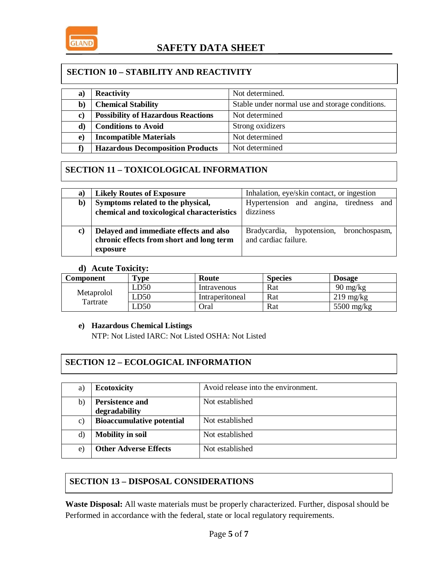

### **SECTION 10 – STABILITY AND REACTIVITY**

| a)           | <b>Reactivity</b>                         | Not determined.                                 |
|--------------|-------------------------------------------|-------------------------------------------------|
| $\mathbf{b}$ | <b>Chemical Stability</b>                 | Stable under normal use and storage conditions. |
| C)           | <b>Possibility of Hazardous Reactions</b> | Not determined                                  |
| d)           | <b>Conditions to Avoid</b>                | Strong oxidizers                                |
| e)           | <b>Incompatible Materials</b>             | Not determined                                  |
|              | <b>Hazardous Decomposition Products</b>   | Not determined                                  |

# **SECTION 11 – TOXICOLOGICAL INFORMATION**

| a) | <b>Likely Routes of Exposure</b>                                                               | Inhalation, eye/skin contact, or ingestion                      |  |
|----|------------------------------------------------------------------------------------------------|-----------------------------------------------------------------|--|
| b) | Symptoms related to the physical,<br>chemical and toxicological characteristics                | Hypertension and angina, tiredness<br>and<br>dizziness          |  |
|    |                                                                                                |                                                                 |  |
| C) | Delayed and immediate effects and also<br>chronic effects from short and long term<br>exposure | Bradycardia, hypotension, bronchospasm,<br>and cardiac failure. |  |

#### **d) Acute Toxicity:**

| Component              | $T$ vpe | Route           | <b>Species</b> | <b>Dosage</b>       |
|------------------------|---------|-----------------|----------------|---------------------|
|                        | LD50    | Intravenous     | Rat            | $90 \text{ mg/kg}$  |
| Metaprolol<br>Tartrate | LD50    | Intraperitoneal | Rat            | $219 \text{ mg/kg}$ |
|                        | LD50    | Oral            | Rat            | $5500$ mg/kg        |

#### **e) Hazardous Chemical Listings**

NTP: Not Listed IARC: Not Listed OSHA: Not Listed

### **SECTION 12 – ECOLOGICAL INFORMATION**

| a) | <b>Ecotoxicity</b>                      | Avoid release into the environment. |
|----|-----------------------------------------|-------------------------------------|
| b) | <b>Persistence and</b><br>degradability | Not established                     |
| C) | <b>Bioaccumulative potential</b>        | Not established                     |
| d) | <b>Mobility in soil</b>                 | Not established                     |
| e) | <b>Other Adverse Effects</b>            | Not established                     |

# **SECTION 13 – DISPOSAL CONSIDERATIONS**

**Waste Disposal:** All waste materials must be properly characterized. Further, disposal should be Performed in accordance with the federal, state or local regulatory requirements.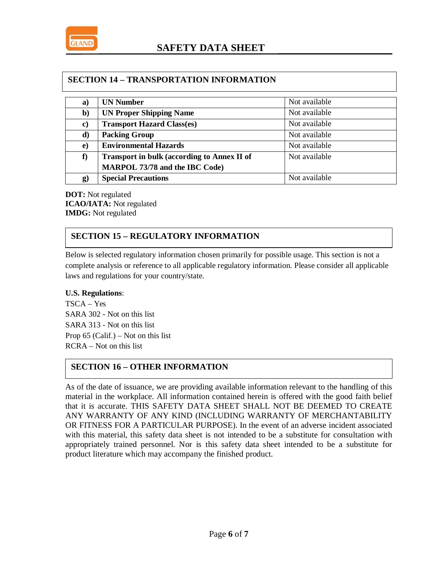

### **SECTION 14 – TRANSPORTATION INFORMATION**

| a)       | <b>UN Number</b>                                   | Not available |
|----------|----------------------------------------------------|---------------|
| b)       | <b>UN Proper Shipping Name</b>                     | Not available |
| $\bf c)$ | <b>Transport Hazard Class(es)</b>                  | Not available |
| d)       | <b>Packing Group</b>                               | Not available |
| $\bf e)$ | <b>Environmental Hazards</b>                       | Not available |
| f)       | <b>Transport in bulk (according to Annex II of</b> | Not available |
|          | <b>MARPOL 73/78 and the IBC Code)</b>              |               |
| $\bf g)$ | <b>Special Precautions</b>                         | Not available |

**DOT:** Not regulated **ICAO/IATA:** Not regulated **IMDG:** Not regulated

## **SECTION 15 – REGULATORY INFORMATION**

Below is selected regulatory information chosen primarily for possible usage. This section is not a complete analysis or reference to all applicable regulatory information. Please consider all applicable laws and regulations for your country/state.

#### **U.S. Regulations**:

TSCA – Yes SARA 302 - Not on this list SARA 313 - Not on this list Prop 65 (Calif.) – Not on this list RCRA – Not on this list

# **SECTION 16 – OTHER INFORMATION**

As of the date of issuance, we are providing available information relevant to the handling of this material in the workplace. All information contained herein is offered with the good faith belief that it is accurate. THIS SAFETY DATA SHEET SHALL NOT BE DEEMED TO CREATE ANY WARRANTY OF ANY KIND (INCLUDING WARRANTY OF MERCHANTABILITY OR FITNESS FOR A PARTICULAR PURPOSE). In the event of an adverse incident associated with this material, this safety data sheet is not intended to be a substitute for consultation with appropriately trained personnel. Nor is this safety data sheet intended to be a substitute for product literature which may accompany the finished product.